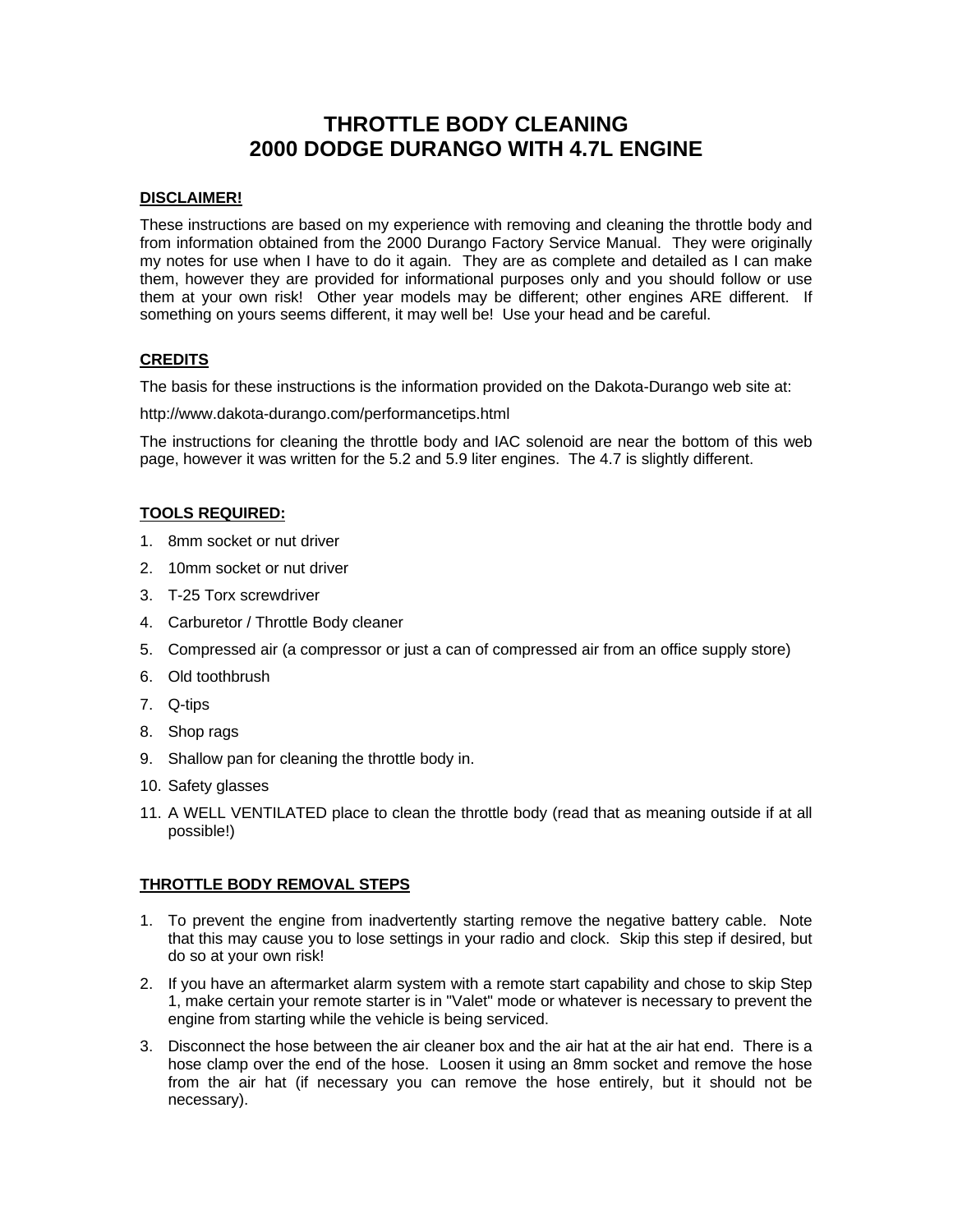# **THROTTLE BODY CLEANING 2000 DODGE DURANGO WITH 4.7L ENGINE**

## **DISCLAIMER!**

These instructions are based on my experience with removing and cleaning the throttle body and from information obtained from the 2000 Durango Factory Service Manual. They were originally my notes for use when I have to do it again. They are as complete and detailed as I can make them, however they are provided for informational purposes only and you should follow or use them at your own risk! Other year models may be different; other engines ARE different. If something on yours seems different, it may well be! Use your head and be careful.

## **CREDITS**

The basis for these instructions is the information provided on the Dakota-Durango web site at:

http://www.dakota-durango.com/performancetips.html

The instructions for cleaning the throttle body and IAC solenoid are near the bottom of this web page, however it was written for the 5.2 and 5.9 liter engines. The 4.7 is slightly different.

## **TOOLS REQUIRED:**

- 1. 8mm socket or nut driver
- 2. 10mm socket or nut driver
- 3. T-25 Torx screwdriver
- 4. Carburetor / Throttle Body cleaner
- 5. Compressed air (a compressor or just a can of compressed air from an office supply store)
- 6. Old toothbrush
- 7. Q-tips
- 8. Shop rags
- 9. Shallow pan for cleaning the throttle body in.
- 10. Safety glasses
- 11. A WELL VENTILATED place to clean the throttle body (read that as meaning outside if at all possible!)

#### **THROTTLE BODY REMOVAL STEPS**

- 1. To prevent the engine from inadvertently starting remove the negative battery cable. Note that this may cause you to lose settings in your radio and clock. Skip this step if desired, but do so at your own risk!
- 2. If you have an aftermarket alarm system with a remote start capability and chose to skip Step 1, make certain your remote starter is in "Valet" mode or whatever is necessary to prevent the engine from starting while the vehicle is being serviced.
- 3. Disconnect the hose between the air cleaner box and the air hat at the air hat end. There is a hose clamp over the end of the hose. Loosen it using an 8mm socket and remove the hose from the air hat (if necessary you can remove the hose entirely, but it should not be necessary).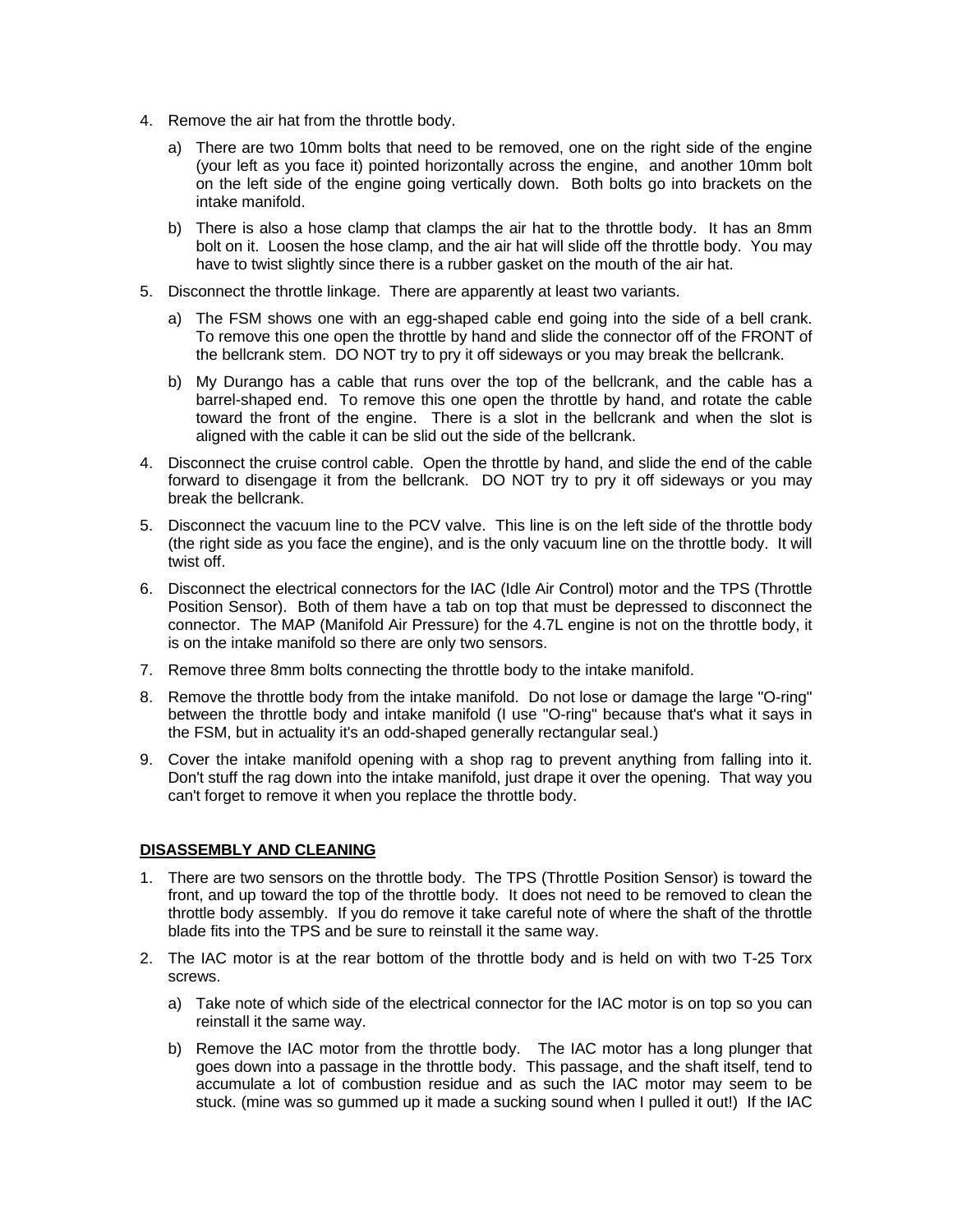- 4. Remove the air hat from the throttle body.
	- a) There are two 10mm bolts that need to be removed, one on the right side of the engine (your left as you face it) pointed horizontally across the engine, and another 10mm bolt on the left side of the engine going vertically down. Both bolts go into brackets on the intake manifold.
	- b) There is also a hose clamp that clamps the air hat to the throttle body. It has an 8mm bolt on it. Loosen the hose clamp, and the air hat will slide off the throttle body. You may have to twist slightly since there is a rubber gasket on the mouth of the air hat.
- 5. Disconnect the throttle linkage. There are apparently at least two variants.
	- a) The FSM shows one with an egg-shaped cable end going into the side of a bell crank. To remove this one open the throttle by hand and slide the connector off of the FRONT of the bellcrank stem. DO NOT try to pry it off sideways or you may break the bellcrank.
	- b) My Durango has a cable that runs over the top of the bellcrank, and the cable has a barrel-shaped end. To remove this one open the throttle by hand, and rotate the cable toward the front of the engine. There is a slot in the bellcrank and when the slot is aligned with the cable it can be slid out the side of the bellcrank.
- 4. Disconnect the cruise control cable. Open the throttle by hand, and slide the end of the cable forward to disengage it from the bellcrank. DO NOT try to pry it off sideways or you may break the bellcrank.
- 5. Disconnect the vacuum line to the PCV valve. This line is on the left side of the throttle body (the right side as you face the engine), and is the only vacuum line on the throttle body. It will twist off.
- 6. Disconnect the electrical connectors for the IAC (Idle Air Control) motor and the TPS (Throttle Position Sensor). Both of them have a tab on top that must be depressed to disconnect the connector. The MAP (Manifold Air Pressure) for the 4.7L engine is not on the throttle body, it is on the intake manifold so there are only two sensors.
- 7. Remove three 8mm bolts connecting the throttle body to the intake manifold.
- 8. Remove the throttle body from the intake manifold. Do not lose or damage the large "O-ring" between the throttle body and intake manifold (I use "O-ring" because that's what it says in the FSM, but in actuality it's an odd-shaped generally rectangular seal.)
- 9. Cover the intake manifold opening with a shop rag to prevent anything from falling into it. Don't stuff the rag down into the intake manifold, just drape it over the opening. That way you can't forget to remove it when you replace the throttle body.

#### **DISASSEMBLY AND CLEANING**

- 1. There are two sensors on the throttle body. The TPS (Throttle Position Sensor) is toward the front, and up toward the top of the throttle body. It does not need to be removed to clean the throttle body assembly. If you do remove it take careful note of where the shaft of the throttle blade fits into the TPS and be sure to reinstall it the same way.
- 2. The IAC motor is at the rear bottom of the throttle body and is held on with two T-25 Torx screws.
	- a) Take note of which side of the electrical connector for the IAC motor is on top so you can reinstall it the same way.
	- b) Remove the IAC motor from the throttle body. The IAC motor has a long plunger that goes down into a passage in the throttle body. This passage, and the shaft itself, tend to accumulate a lot of combustion residue and as such the IAC motor may seem to be stuck. (mine was so gummed up it made a sucking sound when I pulled it out!) If the IAC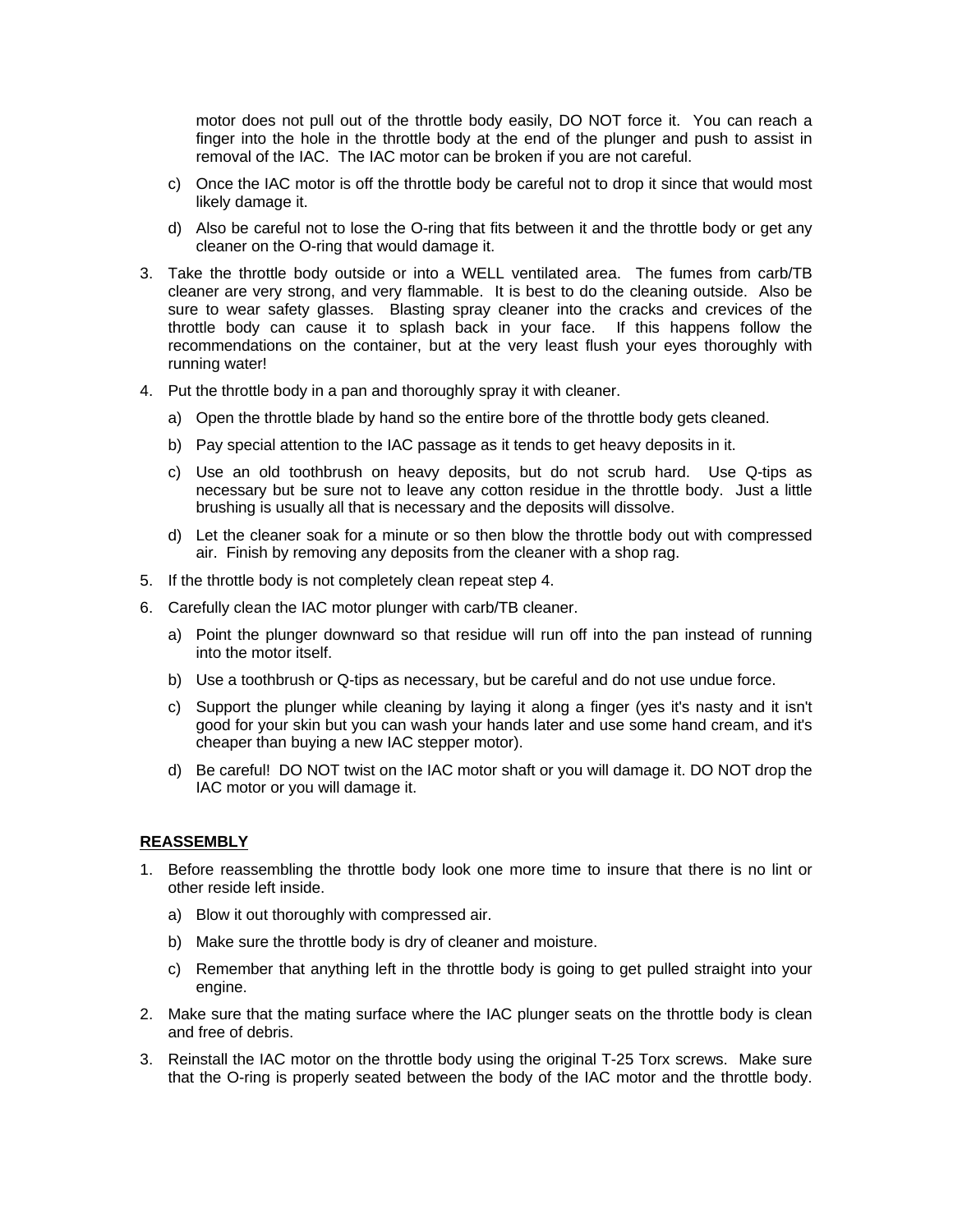motor does not pull out of the throttle body easily, DO NOT force it. You can reach a finger into the hole in the throttle body at the end of the plunger and push to assist in removal of the IAC. The IAC motor can be broken if you are not careful.

- c) Once the IAC motor is off the throttle body be careful not to drop it since that would most likely damage it.
- d) Also be careful not to lose the O-ring that fits between it and the throttle body or get any cleaner on the O-ring that would damage it.
- 3. Take the throttle body outside or into a WELL ventilated area. The fumes from carb/TB cleaner are very strong, and very flammable. It is best to do the cleaning outside. Also be sure to wear safety glasses. Blasting spray cleaner into the cracks and crevices of the throttle body can cause it to splash back in your face. If this happens follow the recommendations on the container, but at the very least flush your eyes thoroughly with running water!
- 4. Put the throttle body in a pan and thoroughly spray it with cleaner.
	- a) Open the throttle blade by hand so the entire bore of the throttle body gets cleaned.
	- b) Pay special attention to the IAC passage as it tends to get heavy deposits in it.
	- c) Use an old toothbrush on heavy deposits, but do not scrub hard. Use Q-tips as necessary but be sure not to leave any cotton residue in the throttle body. Just a little brushing is usually all that is necessary and the deposits will dissolve.
	- d) Let the cleaner soak for a minute or so then blow the throttle body out with compressed air. Finish by removing any deposits from the cleaner with a shop rag.
- 5. If the throttle body is not completely clean repeat step 4.
- 6. Carefully clean the IAC motor plunger with carb/TB cleaner.
	- a) Point the plunger downward so that residue will run off into the pan instead of running into the motor itself.
	- b) Use a toothbrush or Q-tips as necessary, but be careful and do not use undue force.
	- c) Support the plunger while cleaning by laying it along a finger (yes it's nasty and it isn't good for your skin but you can wash your hands later and use some hand cream, and it's cheaper than buying a new IAC stepper motor).
	- d) Be careful! DO NOT twist on the IAC motor shaft or you will damage it. DO NOT drop the IAC motor or you will damage it.

#### **REASSEMBLY**

- 1. Before reassembling the throttle body look one more time to insure that there is no lint or other reside left inside.
	- a) Blow it out thoroughly with compressed air.
	- b) Make sure the throttle body is dry of cleaner and moisture.
	- c) Remember that anything left in the throttle body is going to get pulled straight into your engine.
- 2. Make sure that the mating surface where the IAC plunger seats on the throttle body is clean and free of debris.
- 3. Reinstall the IAC motor on the throttle body using the original T-25 Torx screws. Make sure that the O-ring is properly seated between the body of the IAC motor and the throttle body.